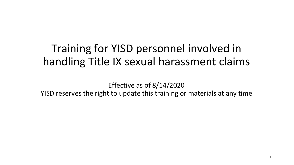## Training for YISD personnel involved in handling Title IX sexual harassment claims

Effective as of 8/14/2020 YISD reserves the right to update this training or materials at any time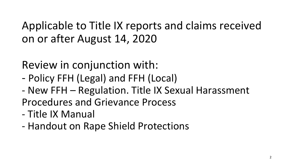Applicable to Title IX reports and claims received on or after August 14, 2020

Review in conjunction with:

- Policy FFH (Legal) and FFH (Local)
- New FFH Regulation. Title IX Sexual Harassment Procedures and Grievance Process
- Title IX Manual
- Handout on Rape Shield Protections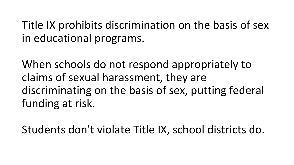Title IX prohibits discrimination on the basis of sex in educational programs.

When schools do not respond appropriately to claims of sexual harassment, they are discriminating on the basis of sex, putting federal funding at risk.

Students don't violate Title IX, school districts do.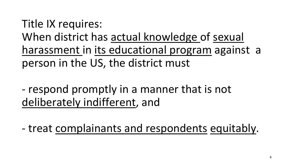# Title IX requires: When district has actual knowledge of sexual harassment in its educational program against a person in the US, the district must

- respond promptly in a manner that is not deliberately indifferent, and
- treat complainants and respondents equitably.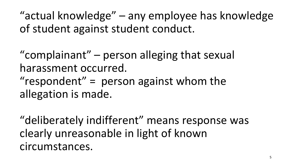"actual knowledge" – any employee has knowledge of student against student conduct.

"complainant" – person alleging that sexual harassment occurred.

" $respondent" = person against whom the$ allegation is made.

"deliberately indifferent" means response was clearly unreasonable in light of known circumstances.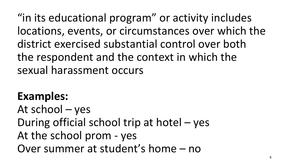"in its educational program" or activity includes locations, events, or circumstances over which the district exercised substantial control over both the respondent and the context in which the sexual harassment occurs

#### **Examples:**

At school – yes During official school trip at hotel – yes At the school prom - yes Over summer at student's home – no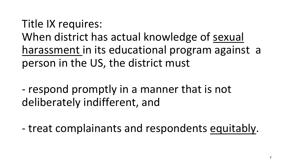Title IX requires: When district has actual knowledge of sexual harassment in its educational program against a person in the US, the district must

- respond promptly in a manner that is not deliberately indifferent, and

- treat complainants and respondents equitably.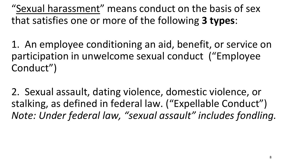"Sexual harassment" means conduct on the basis of sex that satisfies one or more of the following **3 types**:

1. An employee conditioning an aid, benefit, or service on participation in unwelcome sexual conduct ("Employee Conduct")

2. Sexual assault, dating violence, domestic violence, or stalking, as defined in federal law. ("Expellable Conduct") *Note: Under federal law, "sexual assault" includes fondling.*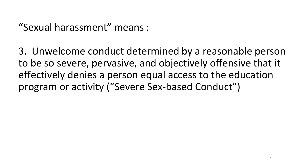"Sexual harassment" means :

3. Unwelcome conduct determined by a reasonable person to be so severe, pervasive, and objectively offensive that it effectively denies a person equal access to the education program or activity ("Severe Sex-based Conduct")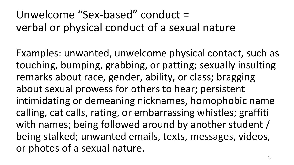## Unwelcome "Sex-based" conduct = verbal or physical conduct of a sexual nature

Examples: unwanted, unwelcome physical contact, such as touching, bumping, grabbing, or patting; sexually insulting remarks about race, gender, ability, or class; bragging about sexual prowess for others to hear; persistent intimidating or demeaning nicknames, homophobic name calling, cat calls, rating, or embarrassing whistles; graffiti with names; being followed around by another student / being stalked; unwanted emails, texts, messages, videos, or photos of a sexual nature.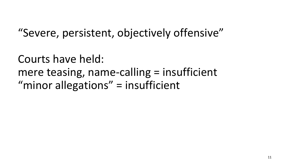### "Severe, persistent, objectively offensive"

Courts have held: mere teasing, name-calling = insufficient "minor allegations" = insufficient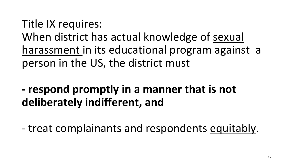Title IX requires: When district has actual knowledge of sexual harassment in its educational program against a person in the US, the district must

- **- respond promptly in a manner that is not deliberately indifferent, and**
- treat complainants and respondents equitably.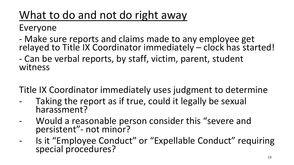# What to do and not do right away

Everyone

- Make sure reports and claims made to any employee get relayed to Title IX Coordinator immediately – clock has started!
- Can be verbal reports, by staff, victim, parent, student witness

Title IX Coordinator immediately uses judgment to determine

- Taking the report as if true, could it legally be sexual harassment?
- Would a reasonable person consider this "severe and persistent"- not minor?
- Is it "Employee Conduct" or "Expellable Conduct" requiring special procedures?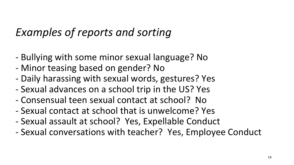### *Examples of reports and sorting*

- Bullying with some minor sexual language? No
- Minor teasing based on gender? No
- Daily harassing with sexual words, gestures? Yes
- Sexual advances on a school trip in the US? Yes
- Consensual teen sexual contact at school? No
- Sexual contact at school that is unwelcome? Yes
- Sexual assault at school? Yes, Expellable Conduct
- Sexual conversations with teacher? Yes, Employee Conduct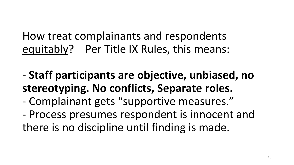How treat complainants and respondents equitably? Per Title IX Rules, this means:

- **Staff participants are objective, unbiased, no stereotyping. No conflicts, Separate roles.**
- Complainant gets "supportive measures."
- Process presumes respondent is innocent and there is no discipline until finding is made.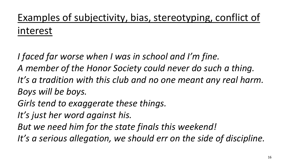# Examples of subjectivity, bias, stereotyping, conflict of interest

*I faced far worse when I was in school and I'm fine. A member of the Honor Society could never do such a thing. It's a tradition with this club and no one meant any real harm. Boys will be boys.*

*Girls tend to exaggerate these things.*

*It's just her word against his.*

*But we need him for the state finals this weekend!*

*It's a serious allegation, we should err on the side of discipline.*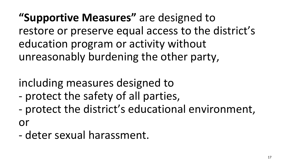**"Supportive Measures"** are designed to restore or preserve equal access to the district's education program or activity without unreasonably burdening the other party,

# including measures designed to

- protect the safety of all parties,
- protect the district's educational environment, or
- deter sexual harassment.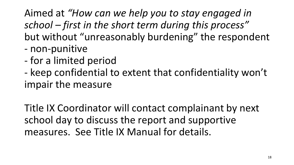#### Aimed at *"How can we help you to stay engaged in school – first in the short term during this process"* but without "unreasonably burdening" the respondent - non-punitive

- for a limited period
- keep confidential to extent that confidentiality won't impair the measure

Title IX Coordinator will contact complainant by next school day to discuss the report and supportive measures. See Title IX Manual for details.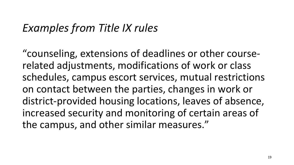#### *Examples from Title IX rules*

"counseling, extensions of deadlines or other courserelated adjustments, modifications of work or class schedules, campus escort services, mutual restrictions on contact between the parties, changes in work or district-provided housing locations, leaves of absence, increased security and monitoring of certain areas of the campus, and other similar measures."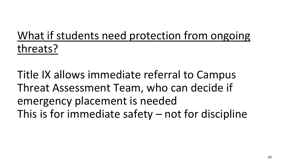# What if students need protection from ongoing threats?

Title IX allows immediate referral to Campus Threat Assessment Team, who can decide if emergency placement is needed This is for immediate safety – not for discipline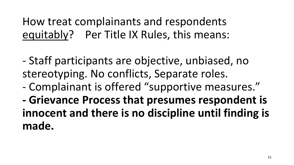How treat complainants and respondents equitably? Per Title IX Rules, this means:

- Staff participants are objective, unbiased, no stereotyping. No conflicts, Separate roles.
- Complainant is offered "supportive measures."
- **- Grievance Process that presumes respondent is innocent and there is no discipline until finding is made.**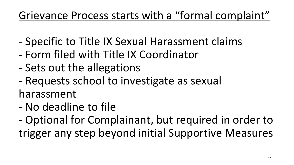## Grievance Process starts with a "formal complaint"

- Specific to Title IX Sexual Harassment claims
- Form filed with Title IX Coordinator
- Sets out the allegations
- Requests school to investigate as sexual

harassment

- No deadline to file
- Optional for Complainant, but required in order to trigger any step beyond initial Supportive Measures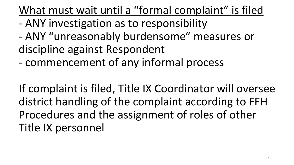What must wait until a "formal complaint" is filed

- ANY investigation as to responsibility
- ANY "unreasonably burdensome" measures or discipline against Respondent
- commencement of any informal process

If complaint is filed, Title IX Coordinator will oversee district handling of the complaint according to FFH Procedures and the assignment of roles of other Title IX personnel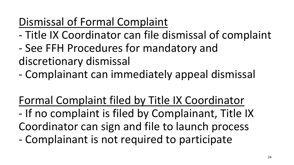# Dismissal of Formal Complaint

- Title IX Coordinator can file dismissal of complaint
- See FFH Procedures for mandatory and discretionary dismissal
- Complainant can immediately appeal dismissal

Formal Complaint filed by Title IX Coordinator

- If no complaint is filed by Complainant, Title IX Coordinator can sign and file to launch process
- Complainant is not required to participate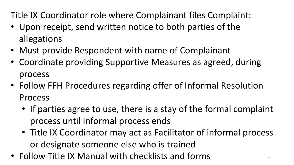Title IX Coordinator role where Complainant files Complaint:

- Upon receipt, send written notice to both parties of the allegations
- Must provide Respondent with name of Complainant
- Coordinate providing Supportive Measures as agreed, during process
- Follow FFH Procedures regarding offer of Informal Resolution Process
	- If parties agree to use, there is a stay of the formal complaint process until informal process ends
	- Title IX Coordinator may act as Facilitator of informal process or designate someone else who is trained
- Follow Title IX Manual with checklists and forms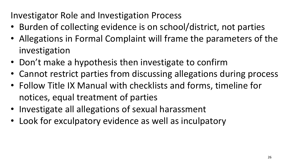#### Investigator Role and Investigation Process

- Burden of collecting evidence is on school/district, not parties
- Allegations in Formal Complaint will frame the parameters of the investigation
- Don't make a hypothesis then investigate to confirm
- Cannot restrict parties from discussing allegations during process
- Follow Title IX Manual with checklists and forms, timeline for notices, equal treatment of parties
- Investigate all allegations of sexual harassment
- Look for exculpatory evidence as well as inculpatory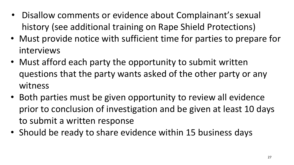- Disallow comments or evidence about Complainant's sexual history (see additional training on Rape Shield Protections)
- Must provide notice with sufficient time for parties to prepare for interviews
- Must afford each party the opportunity to submit written questions that the party wants asked of the other party or any witness
- Both parties must be given opportunity to review all evidence prior to conclusion of investigation and be given at least 10 days to submit a written response
- Should be ready to share evidence within 15 business days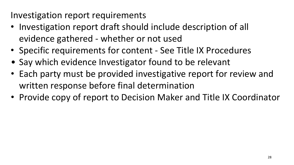Investigation report requirements

- Investigation report draft should include description of all evidence gathered - whether or not used
- Specific requirements for content See Title IX Procedures
- Say which evidence Investigator found to be relevant
- Each party must be provided investigative report for review and written response before final determination
- Provide copy of report to Decision Maker and Title IX Coordinator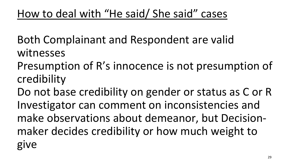Both Complainant and Respondent are valid witnesses

Presumption of R's innocence is not presumption of credibility

Do not base credibility on gender or status as C or R Investigator can comment on inconsistencies and make observations about demeanor, but Decisionmaker decides credibility or how much weight to give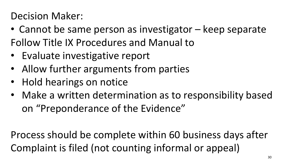#### Decision Maker:

- Cannot be same person as investigator keep separate Follow Title IX Procedures and Manual to
- Evaluate investigative report
- Allow further arguments from parties
- Hold hearings on notice
- Make a written determination as to responsibility based on "Preponderance of the Evidence"

Process should be complete within 60 business days after Complaint is filed (not counting informal or appeal)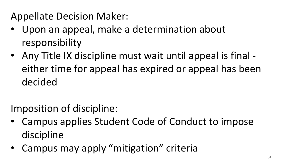Appellate Decision Maker:

- Upon an appeal, make a determination about responsibility
- Any Title IX discipline must wait until appeal is final either time for appeal has expired or appeal has been decided

Imposition of discipline:

- Campus applies Student Code of Conduct to impose discipline
- Campus may apply "mitigation" criteria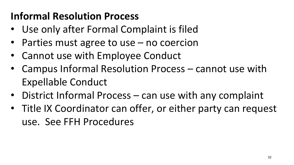### **Informal Resolution Process**

- Use only after Formal Complaint is filed
- Parties must agree to use no coercion
- Cannot use with Employee Conduct
- Campus Informal Resolution Process cannot use with Expellable Conduct
- District Informal Process can use with any complaint
- Title IX Coordinator can offer, or either party can request use. See FFH Procedures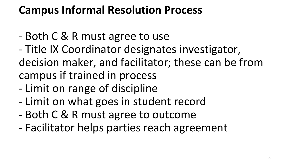### **Campus Informal Resolution Process**

- Both C & R must agree to use
- Title IX Coordinator designates investigator, decision maker, and facilitator; these can be from campus if trained in process
- Limit on range of discipline
- Limit on what goes in student record
- Both C & R must agree to outcome
- Facilitator helps parties reach agreement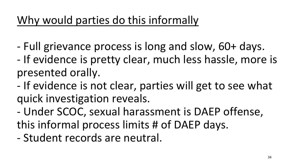# Why would parties do this informally

- Full grievance process is long and slow, 60+ days.
- If evidence is pretty clear, much less hassle, more is presented orally.
- If evidence is not clear, parties will get to see what quick investigation reveals.
- Under SCOC, sexual harassment is DAEP offense, this informal process limits # of DAEP days.
- Student records are neutral.